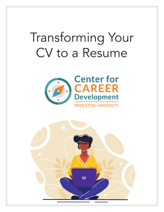# Transforming Your CV to a Resume



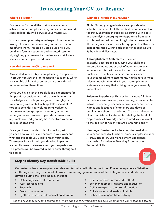# **Where do I start?**

Ensure your CV has all the up-to-date academic activities and accomplishments you have accumulated since college. This will serve as your master CV.

You can develop industry or role-specific resumes by taking relevant elements out of your master CV and modifying them. This step-by-step guide help you build and format a strategic and targeted resume highlighting your relevant experiences and skills to a specific career beyond academia.

# **How do I covert my CV to resume?**

Always start with a job you are planning to apply to. Thoroughly review the job description to identify which transferable skills and experiences are considered more important than others.

Once you have a list of core skills and experiences for the position, consider and write down the relevant knowledge and skills you've gained through your training (e.g., research, teaching, fellowships). Don't forget to consider your volunteering work (e.g., graduate student group engagement, mentoring undergraduates, services to your department), and any freelance work you may have involved within or outside of academia.

Once you have compiled this information, ask yourself how you achieved success in your work and what specific tools you used to reach your goals. These questions will help you develop impactful accomplishment statements from your experiences. This process will be covered in more detail throughout this guide.

# **What do I include in my resume?**

**Skills:** During your graduate career, you develop valuable transferable skills that build upon research or teaching. Examples include collaborating with peers and identifying emerging trends/patterns from data to offer evidence-informed insights for improvement. These may also include specific equipment, software or capabilities used within each experience such as SAS, Python, R, and Illustrator.

**Accomplishment Statements:** These are

impactful descriptions conveying your skills and accomplishments under each of your most relevant experiences. Start with an action verb. You should qualify and quantify your achievements in each of your accomplishment statements. Highlight your most relevant transferable skills in your accomplishment statements in a way that a hiring manager can easily understand.

**Relevant Experience:** This section includes full-time or part-time employment, volunteering, extracurricular activities, teaching, research and/or field experiences. Names and locations of employers and dates of employment should be included. Create a bulleted list of accomplishment statements detailing the level of responsibility, knowledge and acquired skills relevant to the position to which you are planning to apply

**Headings:** Create specific headings to break down your experiences by functional area. Examples include: Archival Research, Lab Management Experience, Leadership Experience, Teaching Experience or Technical Skills.



# **Step 1: Identify Key Transferable Skills**

Graduate students develop transferrable and technical skills throughout their Princeton experience. Whether it's through teaching, research/field work, campus engagement, some of the skills graduate students may develop during their training may include:

- Data analysis and interpretation
- Abstract reasoning
- Research
- Project management
- Synthesis of ideas, data or existing literature
- Communication (verbal and written)
- Self-management, initiative and motivation
- Ability to express complex information
- Collaboration and leadership skills
- Critical thinking/problem solving

*See the next page for some examples of more specific skills you may have developed during your academic career.*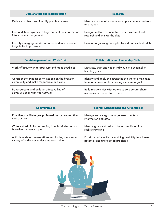| Data analysis and interpretation                                                   | <b>Research</b>                                                                    |
|------------------------------------------------------------------------------------|------------------------------------------------------------------------------------|
| Define a problem and identify possible causes                                      | Identify sources of information applicable to a problem<br>or situation            |
| Consolidate or synthesize large amounts of information<br>into a coherent argument | Design qualitative, quantitative, or mixed-method<br>research and analyze the data |
| Identify emerging trends and offer evidence-informed<br>insights for improvement   | Develop organizing principles to sort and evaluate data                            |

| <b>Self-Management and Work Ethic</b>              | <b>Collaboration and Leadership Skills</b>                            |
|----------------------------------------------------|-----------------------------------------------------------------------|
| Work effectively under pressure and meet deadlines | Motivate, train and coach individuals to accomplish<br>learning goals |
| Consider the impacts of my actions on the broader  | Identify and apply the strengths of others to maximize                |
| community and make responsible decisions           | team outcomes while achieving a common goal                           |
| Be resourceful and build an effective line of      | Build relationships with others to collaborate, share                 |
| communication with your adviser                    | resources and brainstorm ideas                                        |

| <b>Communication</b>                                     | <b>Program Management and Organization</b>                |
|----------------------------------------------------------|-----------------------------------------------------------|
| Effectively facilitate group discussions by keeping them | Manage and categorize large assortments of                |
| constructive                                             | information and data                                      |
| Write and edit in forms ranging from brief abstracts to  | Identify goals and tasks to be accomplished in a          |
| book-length manuscripts                                  | realistic timeline                                        |
| Articulate ideas, presentations and findings to a wide   | Prioritize tasks while maintaining flexibility to address |
| variety of audiences under time constraints              | potential and unexpected problems                         |

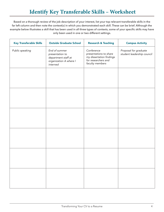# Identify Key Transferable Skills – Worksheet

Based on a thorough review of the job description of your interest, list your top relevant transferable skills in the far left column and then note the context(s) in which you demonstrated each skill. These can be brief. Although the example below illustrates a skill that has been used in all three types of contexts, some of your specific skills may have only been used in one or two different settings.

| <b>Key Transferable Skills</b> | <b>Outside Graduate School</b>                                                                | <b>Research &amp; Teaching</b>                                                                             | <b>Campus Activity</b>                              |
|--------------------------------|-----------------------------------------------------------------------------------------------|------------------------------------------------------------------------------------------------------------|-----------------------------------------------------|
| Public speaking                | End of summer<br>presentation to<br>department staff at<br>organization A where I<br>interned | Conference<br>presentations to share<br>my dissertation findings<br>for researchers and<br>faculty members | Proposal for graduate<br>student leadership council |
|                                |                                                                                               |                                                                                                            |                                                     |
|                                |                                                                                               |                                                                                                            |                                                     |
|                                |                                                                                               |                                                                                                            |                                                     |
|                                |                                                                                               |                                                                                                            |                                                     |
|                                |                                                                                               |                                                                                                            |                                                     |
|                                |                                                                                               |                                                                                                            |                                                     |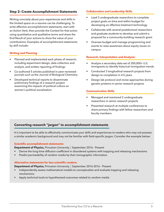# **Step 2: Create Accomplishment Statements**

Writing concisely about your experiences and skills in the limited space on a resume can be challenging. To write effective accomplishment statements, start with an Action Verb, then provide the Context for that action using quantitative and qualitative terms and share the End Result of your actions to show the value of your contributions. Examples of accomplishment statements by skill include:

# **Writing and Planning**

- Planned and implemented each phase of research, including experiment design, data collection and analysis, and written reporting of findings
- Co-authored 5 articles published in peer-reviewed journals such as the Journal of Biological Chemistry
- Developed technical reports to disseminate preliminary findings of a research project examining the impacts of political culture on women's political socialization

# **Collaboration and Leadership Skills**

- Lead 3 undergraduate researchers to complete project goals on time and within budget for developing an effective treatment technology
- Collaborate with several postdoctoral researchers and graduate students to develop and submit a proposal for a community-building research grant
- Oversee budget and manage programming and events to raise awareness about equity issues on campus

### **Research, Interpretation and Analysis:**

- Analyze a secondary data set of 200,000+ U.S. immigrants to identify historical immigration trends
- Conducted 3 longitudinal research projects from design to completion in 4.5 years
- Design lab protocol and revise approaches during genetic proteins in senior research projects

# **Communication Skills**

- Managed and mentored 2 undergraduate researchers in senior research projects
- Presented research at multiple conferences to share primary findings with fellow researchers and faculty members

# **Converting research "jargon" to accomplishment statements**

It is important to be able to effectively communicate your skills and experiences to readers who may not possess a similar academic background and may not be familiar with field-specific jargon. Consider the example below:

### **Scientific accomplishment statements:**

**Department of Physics, Princeton University | September 2016 - Present** 

- Derive the long-time diffusion coefficient in disordered systems with trapping and releasing mechanisms
- Predict permeability of random media by their tomographic information

# **Alternative statements for less scientific readers:**

**Department of Physics, Princeton University | September 2016 2016 - Present** 

- Independently assess mathematical models to conceptualize and evaluate trapping and releasing mechanisms
- Apply technical tools to hypothesized outcomes related to random media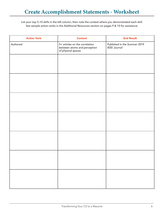List your top 5-10 skills in the left column, then note the context where you demonstrated each skill. See sample action verbs in the Additional Resources section on pages 9 & 10 for assistance.

| <b>Context</b>                                                                       | <b>End Result</b>                                   |
|--------------------------------------------------------------------------------------|-----------------------------------------------------|
| 5+ articles on the correlation<br>between atoms and perception<br>of physical spaces | Published in the Summer 2019<br><b>IEEE Journal</b> |
|                                                                                      |                                                     |
|                                                                                      |                                                     |
|                                                                                      |                                                     |
|                                                                                      |                                                     |
|                                                                                      |                                                     |
|                                                                                      |                                                     |
|                                                                                      |                                                     |
|                                                                                      |                                                     |
|                                                                                      |                                                     |
|                                                                                      |                                                     |
|                                                                                      |                                                     |
|                                                                                      |                                                     |
|                                                                                      |                                                     |
|                                                                                      |                                                     |
|                                                                                      |                                                     |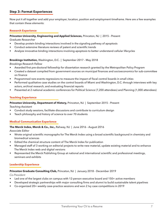# **Step 3: Format Experiences**

Now put it all together and add your employer, location, position and employment timeframe. Here are a few examples that contain these elements:

### **Research Experience**

### **Princeton University, Engineering and Applied Sciences,** Princeton, NJ | 2015 - Present

*Graduate Researcher*

- Develop protein binding interactions involved in the signaling pathway of apoptosis
- Conduct extensive literature reviews of patent and scientific trends
- Analyze innovative binding interactions involving apoptosis to better understand cellular lifecycles

### **Brookings Institution,** Washington, D.C. | September 2017 - May 2018

*Brookings Research Fellow* 

- Awarded first pre-doctoral fellowship for dissertation research granted by the Metropolitan Policy Program
- Created a dataset compiled from government sources on municipal finances and socioeconomics for sub-committee on finance
- Programmed rare-events regressions to measure the impact of fiscal control boards in small cities
- Performed qualitative case studies on the control boards of Miami and Washington, D.C. through interviews with key actors, archival research, and evaluating financial reports
- Presented at 2 national academic conferences for Political Science (7,200 attendees) and Planning (1,000 attendees)

### **Teaching Experience**

### **Princeton University, Department of History,** Princeton, NJ | September 2015 - Present

*Teaching Assistant* 

- Conduct study sessions, facilitate discussions and contribute to curriculum design
- Teach philosophy and history of science to over 70 students

# **Medical Communication Experience**

### **The Merck Index, Merck & Co., Inc.,** Rahway, NJ | June 2016 - August 2016

*Associate Editor*

- Wrote original scientific monographs for The Merck Index using a broad scientific background in chemistry and biomedical sciences
- Edited the chemical structure content of The Merck Index for publication
- Managed staff of 3 working on editorial projects to write new material, update existing material and to enhance The Merck Index web and digital versions
- Represented the Merck Publishing Group at national and international scientific and professional meetings, seminars and exhibits

### **Leadership Experience**

### **Princeton Graduate Consulting Club,** Princeton, NJ | January 2018 - December 2019

*Co-President*

- Led one of the largest clubs on campus with 12-person executive board and 150+ active members
- Developed strategic partnerships with major consulting firms and alumni to build sustainable talent pipelines
- Co-organized 20+ weekly case-practice sessions and won 2 Ivy case competitions in 2019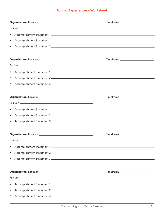# **Format Experiences – Worksheet**

|           | Timeframe ________________________________                                                                                                                           |  |
|-----------|----------------------------------------------------------------------------------------------------------------------------------------------------------------------|--|
|           |                                                                                                                                                                      |  |
| $\bullet$ |                                                                                                                                                                      |  |
| $\bullet$ |                                                                                                                                                                      |  |
| $\bullet$ |                                                                                                                                                                      |  |
|           | $\begin{tabular}{c} Timeframe \end{tabular} \begin{tabular}{c} \hline \textbf{Timeframe} & \textbf{green} & \textbf{green} \\ \hline \end{tabular}$                  |  |
|           |                                                                                                                                                                      |  |
| $\bullet$ |                                                                                                                                                                      |  |
| $\bullet$ |                                                                                                                                                                      |  |
| $\bullet$ |                                                                                                                                                                      |  |
|           |                                                                                                                                                                      |  |
|           | $\begin{tabular}{c} Timeframe \end{tabular} \begin{tabular}{c} \hline \textbf{Timeframe} & \textbf{green} & \textbf{green} & \textbf{green} \\ \hline \end{tabular}$ |  |
|           |                                                                                                                                                                      |  |
| $\bullet$ |                                                                                                                                                                      |  |
| $\bullet$ |                                                                                                                                                                      |  |
| $\bullet$ |                                                                                                                                                                      |  |
|           | $\begin{tabular}{c} Timeframe \end{tabular} \begin{tabular}{c} \hline \textbf{Timeframe} & \textbf{green} & \textbf{green} \\ \hline \end{tabular}$                  |  |
|           |                                                                                                                                                                      |  |
| $\bullet$ |                                                                                                                                                                      |  |
| $\bullet$ |                                                                                                                                                                      |  |
| $\bullet$ |                                                                                                                                                                      |  |
|           | $\begin{tabular}{c} Timeframe \end{tabular} \begin{tabular}{c} \hline \textbf{Timeframe} & \textbf{green} & \textbf{green} & \textbf{green} \\ \hline \end{tabular}$ |  |
|           |                                                                                                                                                                      |  |
| ٠         |                                                                                                                                                                      |  |
| ٠         |                                                                                                                                                                      |  |
| ٠         |                                                                                                                                                                      |  |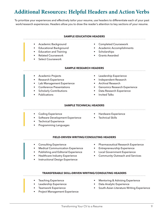# Additional Resources: Helpful Headers and Action Verbs

To prioritize your experiences and effectively tailor your resume, use headers to differentiate each of your past work/research experiences. Headers allow you to draw the reader's attention to key sections of your resume.

| <b>SAMPLE EDUCATION HEADERS</b>                                                                                                                                         |                                                                                                                                                                      |  |  |
|-------------------------------------------------------------------------------------------------------------------------------------------------------------------------|----------------------------------------------------------------------------------------------------------------------------------------------------------------------|--|--|
| Academic Background<br>$\bullet$<br><b>Educational Background</b><br><b>Education and Training</b><br><b>Related Coursework</b><br><b>Select Coursework</b>             | <b>Completed Coursework</b><br>$\bullet$<br><b>Academic Accomplishments</b><br>Scholarships<br><b>Grants Awarded</b>                                                 |  |  |
| <b>SAMPLE RESEARCH HEADERS</b>                                                                                                                                          |                                                                                                                                                                      |  |  |
| Academic Projects<br>Research Experience<br>Lab Management Experience<br>$\bullet$<br><b>Conference Presentations</b><br><b>Scholarly Contributions</b><br>Publications | Leadership Experience<br>Independent Research<br><b>Archival Research</b><br><b>Genomics Research Experience</b><br>Data Research Experience<br><b>Invited Talks</b> |  |  |
| <b>SAMPLE TECHNICAL HEADERS</b>                                                                                                                                         |                                                                                                                                                                      |  |  |
| <b>Coding Experience</b><br>$\bullet$<br><b>Software Development Experience</b><br>$\bullet$<br><b>Technical Experience</b><br><b>Programming Languages</b>             | Hardware Experience<br><b>Technical Skills</b>                                                                                                                       |  |  |

#### **FIELD-DRIVEN WRITING/CONSULTING HEADERS**

- Consulting Experience
- Medical Communication Experience
- Publishing and Editorial Experience
- Healthcare Industry Experience
- Instructional Design Experience
- Pharmaceutical Research Experience
- Entrepreneurship Experience
- Local Government Experience
- Community Outreach and Services

### **TRANSFERABLE SKILL-DRIVEN WRITING/CONSULTING HEADERS**

- **Teaching Experience**
- Leadership Experience
- Teamwork Experience
- Project Management Experience
- Mentoring & Advising Experience
- Data Analytic Experience
- South-Asian Literature Writing Experience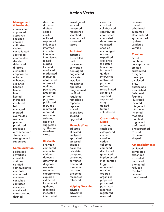# Action Verbs

#### **Management & Leadership**

administered appointed approved assigned attained authorized chaired consolidated controlled coordinated decided delegated directed eliminated emphasized enforced enhanced executed handled headed hired hosted increased instituted led managed merged overhauled oversaw planned prioritized produced recommended streamlined strengthened supervised

**Communication** addressed advertised articulated authored clarified communicated composed condensed conferred consulted contacted conveyed convinced corresponded defined

described discussed drafted edited elicited enlisted expressed influenced informed instructed interacted interviewed joined judged listened mediated moderated motivated negotiated observed outlined persuaded presented promoted proposed publicized recruited reinforced reported responded solicited specified suggested synthesized

#### **Research**

translated wrote

analyzed compared conducted critiqued detected determined diagnosed evaluated examined experimented explored extracted formulated gathered identified inspected interpreted

investigated located measured researched searched summarized surveyed tested

### **Technical**

adapted assembled built constructed converted debugged engineered fabricated installed maintained operated programmed rectified regulated remodeled repaired replaced solved specialized studied upgraded

# **Financial/Data**

adjusted allocated analyzed appraised assessed audited balanced calculated computed conserved corrected estimated forecasted marketed projected reconciled retrieved

#### **Helping /Teaching** advised

advocated answered

cared for coached collaborated contributed cooperated counseled demonstrated educated enabled encouraged ensured expedited explained facilitated familiarize furthered guided intervened motivated provided referred rehabilitated simplified supplied supported taught trained tutored volunteered

#### **Organization/ Detail**

arranged cataloged categorized charted classified coded collected compiled distributed generated implemented incorporated logged monitored obtained ordered organized prepared processed purchased recorded registered reserved

reviewed routed scheduled submitted standardized systematized updated validated verified

### **Creative**

acted combined conceptualized created customized desianed developed displayed drew entertained established fashioned founded illustrated initiated integrated introduced invented modeled modified originated performed photographed revised revitalized shaped

# **Accomplishments**

achieved completed expanded exceeded improved pioneered reduced resolved restored transformed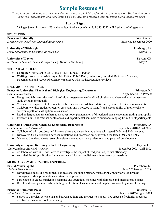# **University of Pittsburgh, Chemical Engineering Department** Pittsburgh, PA

**Graduate Research Assistant September 2010-April 2012** 

- Collaborated with postdocs and PIs to analyze and determine mutations with tested DNA and RNA samples
- Discovered 80% correlation between mutations and decreased amount within the tested DNA and RNA
- Mentored 5 undergraduate research assistants to support their professional and personal development

# **University of Dayton, Kettering School of Engineering** Dayton, OH

*Undergraduate Research Assistant* **September 2002-April 2005 September 2002-April 2005** 

- Collaborated with U.S. Air Force to investigate the impact of lead paint on jet fuel efficiency
- Awarded the Wright Brother Innovation Award for accomplishments in research partnerships

# **MEDICAL COMMUNICATION EXPERIENCE**

# **Bristol-Myers Squibb** Plainsboro, NJ<br>Medical Writer Internet Plainsboro, NJ<br>June 2018-August 2018

- Developed clinical and preclinical publications, including primary manuscripts, review articles, product monographs, slide presentations, abstracts and posters
- Participated in global publication planning and operations meetings with domestic and international clients
- Developed strategic materials including publication plans, communication platforms and key clinical findings

# **Princeton University Press** Princeton, NJ

*Editorial Assistant Volunteer* January 2017-August 2018

• Served as a medical science liaison between authors and the Press to support key aspects of editorial processes involved in academic book publishing

# Sample Resume #1

*Thalia is interested in the pharmaceutical industry, especially R&D and medical communication. She highlighted her most relevant research and transferable skills by including research, communication, and leadership skills.* 

# **Thalia Tiger**

123 Tiger Street, Princeton, NJ • thalia.tiger@princeton.edu • 555-555-5555 • linkedin.com/in/tigerthalia

# **EDUCATION**

**Princeton University** Princeton, NJ *Doctor of Philosophy in Chemical Engineering* **Expected December 2020 Expected December 2020** 

# **University of Pittsburgh** PA

*Master of Science in Chemical Engineering* **May 2012 May 2012 May 2012** 

# **University of Dayton** Dayton, OH

*Bachelor of Science Chemical Engineering, Minor in Marketing* **May 2010** May 2010

# **TECHNICAL SKILLS**

- **Computer**: Proficient in C++, Java, HTML, Linux, C, Python
- **Writing:** Proficient in AMA Style, MS Office, PubSTRAT, Datavision, PubMed, Reference Manager, Documentum and Adobe Photoshop; experience with medical/regulator reviews

# **RESEARCH EXPERIENCE**

| <b>Princeton University, Chemical and Biological Engineering Department</b>                                                             | Princeton, NJ          |
|-----------------------------------------------------------------------------------------------------------------------------------------|------------------------|
| Graduate Researcher                                                                                                                     | September 2015-Present |
| Design and fabricate advanced microfluidics to generate well-defined physical and chemical environments to<br>study cellular chemotaxis |                        |
| • Characterize response of chemotactic cells to various well-defined static and dynamic chemical environments                           |                        |
| • Collaborate with 2 graduate research assistants and a postdoc to identify and assess ability of motile cells to                       |                        |
| determine path of least hydraulic resistance                                                                                            |                        |
| . The discussions discussed and the discovered construction of discussional application of indicating a contradibile                    |                        |

- Lead undergraduate researchers to discover novel phenomenon of directional persistence in migrating neutrophils
- Present findings at national conferences and departmental seminars to audiences ranging from 8 to 50 participants

*Medical Writer Intern* June 2018-August 2018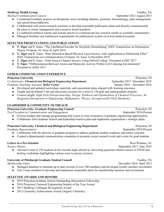# **MedErgy Health Group** Yardley, PA

*Medical Communication Liaison* **September 2012-August 2015** 

- Coordinated multiple projects on therapeutic areas including diabetes, psoriasis, rheumatology, pain management and opioid abuse/addiction
- Collaborated with senior research scientists to develop actionable publication plans and directly communicated the plans to senior management and executive board members
- Co-authored technical reports and journal articles to communicate key research results to scientific communities
- Managed timelines and submission requirements for publications in peer-reviewed medical journals

# **SELECTED PRESENTATIONS AND PUBLICATIONS**

- **T. Tiger** and S. Jones**.** "The Likelihood Encoder for Scientific Streamlining" IEEE Transactions on Information Theory (Volume: 62, Issue 4) April 2019
- **T. Tiger** and R. Jones**.** "Rate-Distortion-Based Physical Layer Secrecy with Applications to Multimode Fiber" IEEE Transactions on Communications (Volume: 62, Issue 3) December 2018
- **T. Tiger** and P. Jones. "Joint Source-Channel Secrecy Using Hybrid Coding" Presented at ISIT 2017
- **T. Tiger. "**Differentiation Between Atoms and Molecular Activity Within Cell Culturing Environments" Presented at ASEE 2011

# **OTHER COMMUNICATION EXPERIENCE**

# **Princeton University** Princeton, NJ

*Co-Instructor, Chemical and Biological Engineering Department* September 2017- December 2018 *Graduate Teaching Assistant, Keller Center* January 2016 – December 2016

- Developed and updated curriculum, materials, and assessment plans aligned with learning outcomes
- Taught and facilitated 5 lab and discussion sections for a total of 150 grad and undergraduate students
- Courses taught: *High-Tech Entrepreneurship; Design, Synthesis and Optimization of Chemical Processes; An Integrated Introduction to Engineering, Mathematics; Physics, Incompressible Fluid Mechanics*

# **LEADERSHIP & COMMUNITY OUTREACH**

# **Princeton University, Graduate Engineering Council** *Princeton, NJ* Princeton, NJ *Vice President in Communication and Engagement* **September 2018-Present** September 2018-Present ● Oversee budget and manage programming and events to raise awareness of graduate engineering opportunities ● Collaborate with Graduate School and leadership board to plan and implement organization's strategic plans

# **Princeton University, Chemical and Biological Engineering Department** Princeton, NJ<br>Graduate Representative September 2019-Present

*Graduate Representative* 

- Collaborate with the director of graduate program to address graduate student academic and career concerns
- Created a departmental communication committee to promote recent research work and events for grad students

# **Letters to a Pre-Scientist** West Windsor, NJ

*Science Mentor* September 2017- June 2019

● Advised a total of 150 students at low-income high schools by answering questions related careers in STEM and hosting workshops highlighting various ways to pursue sciences

# **University of Pittsburgh Graduate Student Council Vanish Student Council**

*Membership Chair* December 2010- April 2012

- Managed database to maintain up to date records of over 300 members and developed weekly member newsletters
- Led 2 team members to develop and implement sustainable plans for membership retention and recruitment

- 2019 Princeton Graduate School Outstanding Dissertation Fellowship
- 2018 Princeton Chemical Engineering Student of the Year Award
- 2013 MedErgy Colleague Recognition Award
- 2012 Chemistry Achievement Award, Organic Chemistry

Transforming Your CV to a Resume 12